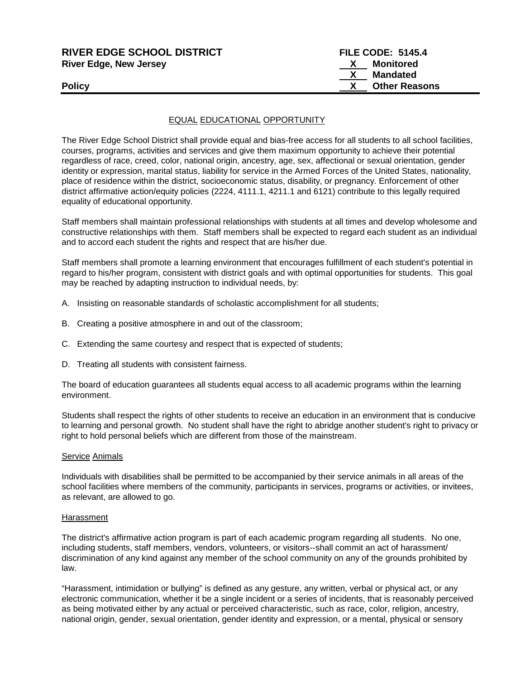| <b>RIVER EDGE SCHOOL DISTRICT</b> | <b>FILE CODE: 5145.4</b> |  |
|-----------------------------------|--------------------------|--|
| <b>River Edge, New Jersey</b>     | Monitored<br>X.          |  |
|                                   | Mandated                 |  |
| <b>Policy</b>                     | <b>Other Reasons</b>     |  |
|                                   |                          |  |

## EQUAL EDUCATIONAL OPPORTUNITY

The River Edge School District shall provide equal and bias-free access for all students to all school facilities, courses, programs, activities and services and give them maximum opportunity to achieve their potential regardless of race, creed, color, national origin, ancestry, age, sex, affectional or sexual orientation, gender identity or expression, marital status, liability for service in the Armed Forces of the United States, nationality, place of residence within the district, socioeconomic status, disability, or pregnancy. Enforcement of other district affirmative action/equity policies (2224, 4111.1, 4211.1 and 6121) contribute to this legally required equality of educational opportunity.

Staff members shall maintain professional relationships with students at all times and develop wholesome and constructive relationships with them. Staff members shall be expected to regard each student as an individual and to accord each student the rights and respect that are his/her due.

Staff members shall promote a learning environment that encourages fulfillment of each student's potential in regard to his/her program, consistent with district goals and with optimal opportunities for students. This goal may be reached by adapting instruction to individual needs, by:

- A. Insisting on reasonable standards of scholastic accomplishment for all students;
- B. Creating a positive atmosphere in and out of the classroom;
- C. Extending the same courtesy and respect that is expected of students;
- D. Treating all students with consistent fairness.

The board of education guarantees all students equal access to all academic programs within the learning environment.

Students shall respect the rights of other students to receive an education in an environment that is conducive to learning and personal growth. No student shall have the right to abridge another student's right to privacy or right to hold personal beliefs which are different from those of the mainstream.

#### Service Animals

Individuals with disabilities shall be permitted to be accompanied by their service animals in all areas of the school facilities where members of the community, participants in services, programs or activities, or invitees, as relevant, are allowed to go.

#### Harassment

The district's affirmative action program is part of each academic program regarding all students. No one, including students, staff members, vendors, volunteers, or visitors--shall commit an act of harassment/ discrimination of any kind against any member of the school community on any of the grounds prohibited by law.

"Harassment, intimidation or bullying" is defined as any gesture, any written, verbal or physical act, or any electronic communication, whether it be a single incident or a series of incidents, that is reasonably perceived as being motivated either by any actual or perceived characteristic, such as race, color, religion, ancestry, national origin, gender, sexual orientation, gender identity and expression, or a mental, physical or sensory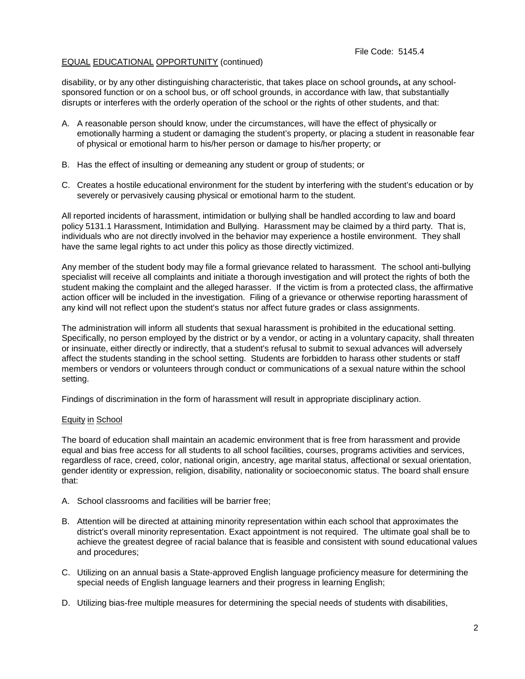# EQUAL EDUCATIONAL OPPORTUNITY (continued)

disability, or by any other distinguishing characteristic, that takes place on school grounds**,** at any schoolsponsored function or on a school bus, or off school grounds, in accordance with law, that substantially disrupts or interferes with the orderly operation of the school or the rights of other students, and that:

- A. A reasonable person should know, under the circumstances, will have the effect of physically or emotionally harming a student or damaging the student's property, or placing a student in reasonable fear of physical or emotional harm to his/her person or damage to his/her property; or
- B. Has the effect of insulting or demeaning any student or group of students; or
- C. Creates a hostile educational environment for the student by interfering with the student's education or by severely or pervasively causing physical or emotional harm to the student.

All reported incidents of harassment, intimidation or bullying shall be handled according to law and board policy 5131.1 Harassment, Intimidation and Bullying. Harassment may be claimed by a third party. That is, individuals who are not directly involved in the behavior may experience a hostile environment. They shall have the same legal rights to act under this policy as those directly victimized.

Any member of the student body may file a formal grievance related to harassment. The school anti-bullying specialist will receive all complaints and initiate a thorough investigation and will protect the rights of both the student making the complaint and the alleged harasser. If the victim is from a protected class, the affirmative action officer will be included in the investigation. Filing of a grievance or otherwise reporting harassment of any kind will not reflect upon the student's status nor affect future grades or class assignments.

The administration will inform all students that sexual harassment is prohibited in the educational setting. Specifically, no person employed by the district or by a vendor, or acting in a voluntary capacity, shall threaten or insinuate, either directly or indirectly, that a student's refusal to submit to sexual advances will adversely affect the students standing in the school setting. Students are forbidden to harass other students or staff members or vendors or volunteers through conduct or communications of a sexual nature within the school setting.

Findings of discrimination in the form of harassment will result in appropriate disciplinary action.

# Equity in School

The board of education shall maintain an academic environment that is free from harassment and provide equal and bias free access for all students to all school facilities, courses, programs activities and services, regardless of race, creed, color, national origin, ancestry, age marital status, affectional or sexual orientation, gender identity or expression, religion, disability, nationality or socioeconomic status. The board shall ensure that:

- A. School classrooms and facilities will be barrier free;
- B. Attention will be directed at attaining minority representation within each school that approximates the district's overall minority representation. Exact appointment is not required. The ultimate goal shall be to achieve the greatest degree of racial balance that is feasible and consistent with sound educational values and procedures;
- C. Utilizing on an annual basis a State-approved English language proficiency measure for determining the special needs of English language learners and their progress in learning English;
- D. Utilizing bias-free multiple measures for determining the special needs of students with disabilities,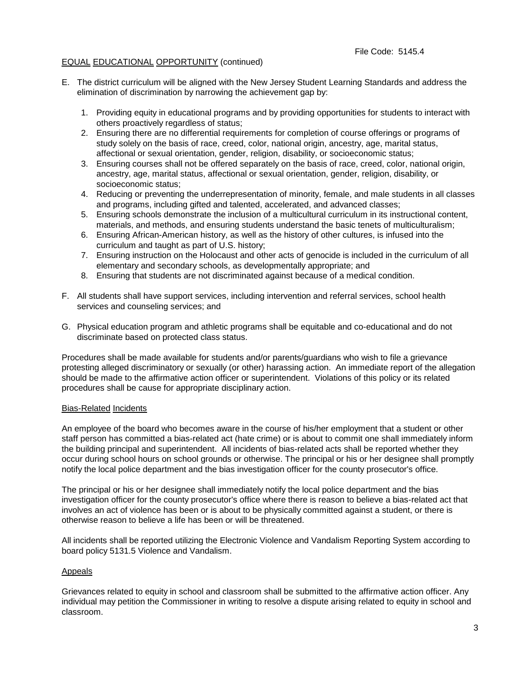### File Code: 5145.4

# EQUAL EDUCATIONAL OPPORTUNITY (continued)

- E. The district curriculum will be aligned with the New Jersey Student Learning Standards and address the elimination of discrimination by narrowing the achievement gap by:
	- 1. Providing equity in educational programs and by providing opportunities for students to interact with others proactively regardless of status;
	- 2. Ensuring there are no differential requirements for completion of course offerings or programs of study solely on the basis of race, creed, color, national origin, ancestry, age, marital status, affectional or sexual orientation, gender, religion, disability, or socioeconomic status;
	- 3. Ensuring courses shall not be offered separately on the basis of race, creed, color, national origin, ancestry, age, marital status, affectional or sexual orientation, gender, religion, disability, or socioeconomic status;
	- 4. Reducing or preventing the underrepresentation of minority, female, and male students in all classes and programs, including gifted and talented, accelerated, and advanced classes;
	- 5. Ensuring schools demonstrate the inclusion of a multicultural curriculum in its instructional content, materials, and methods, and ensuring students understand the basic tenets of multiculturalism;
	- 6. Ensuring African-American history, as well as the history of other cultures, is infused into the curriculum and taught as part of U.S. history;
	- 7. Ensuring instruction on the Holocaust and other acts of genocide is included in the curriculum of all elementary and secondary schools, as developmentally appropriate; and
	- 8. Ensuring that students are not discriminated against because of a medical condition.
- F. All students shall have support services, including intervention and referral services, school health services and counseling services; and
- G. Physical education program and athletic programs shall be equitable and co-educational and do not discriminate based on protected class status.

Procedures shall be made available for students and/or parents/guardians who wish to file a grievance protesting alleged discriminatory or sexually (or other) harassing action. An immediate report of the allegation should be made to the affirmative action officer or superintendent. Violations of this policy or its related procedures shall be cause for appropriate disciplinary action.

#### Bias-Related Incidents

An employee of the board who becomes aware in the course of his/her employment that a student or other staff person has committed a bias-related act (hate crime) or is about to commit one shall immediately inform the building principal and superintendent. All incidents of bias-related acts shall be reported whether they occur during school hours on school grounds or otherwise. The principal or his or her designee shall promptly notify the local police department and the bias investigation officer for the county prosecutor's office.

The principal or his or her designee shall immediately notify the local police department and the bias investigation officer for the county prosecutor's office where there is reason to believe a bias-related act that involves an act of violence has been or is about to be physically committed against a student, or there is otherwise reason to believe a life has been or will be threatened.

All incidents shall be reported utilizing the Electronic Violence and Vandalism Reporting System according to board policy 5131.5 Violence and Vandalism.

#### Appeals

Grievances related to equity in school and classroom shall be submitted to the affirmative action officer. Any individual may petition the Commissioner in writing to resolve a dispute arising related to equity in school and classroom.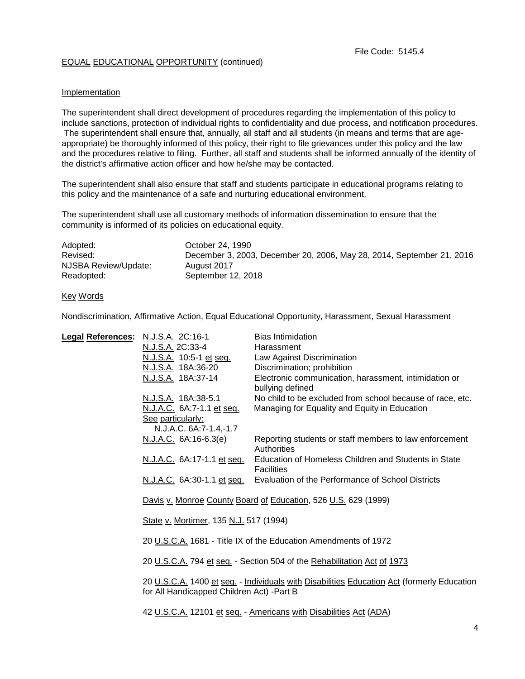# EQUAL EDUCATIONAL OPPORTUNITY (continued)

## Implementation

The superintendent shall direct development of procedures regarding the implementation of this policy to include sanctions, protection of individual rights to confidentiality and due process, and notification procedures. The superintendent shall ensure that, annually, all staff and all students (in means and terms that are ageappropriate) be thoroughly informed of this policy, their right to file grievances under this policy and the law and the procedures relative to filing. Further, all staff and students shall be informed annually of the identity of the district's affirmative action officer and how he/she may be contacted.

The superintendent shall also ensure that staff and students participate in educational programs relating to this policy and the maintenance of a safe and nurturing educational environment.

The superintendent shall use all customary methods of information dissemination to ensure that the community is informed of its policies on educational equity.

| Adopted:             | October 24, 1990                                                      |
|----------------------|-----------------------------------------------------------------------|
| Revised:             | December 3, 2003, December 20, 2006, May 28, 2014, September 21, 2016 |
| NJSBA Review/Update: | August 2017                                                           |
| Readopted:           | September 12, 2018                                                    |

Key Words

Nondiscrimination, Affirmative Action, Equal Educational Opportunity, Harassment, Sexual Harassment

| <b>Legal References:</b> | N.J.S.A. 2C:16-1                                                                           | <b>Bias Intimidation</b>                                                     |  |
|--------------------------|--------------------------------------------------------------------------------------------|------------------------------------------------------------------------------|--|
|                          | N.J.S.A. 2C:33-4                                                                           | Harassment                                                                   |  |
|                          | <u>N.J.S.A.</u> 10:5-1 et seq.                                                             | Law Against Discrimination                                                   |  |
|                          | N.J.S.A. 18A:36-20                                                                         | Discrimination; prohibition                                                  |  |
|                          | N.J.S.A. 18A:37-14                                                                         | Electronic communication, harassment, intimidation or                        |  |
|                          |                                                                                            | bullying defined                                                             |  |
|                          | N.J.S.A. 18A:38-5.1                                                                        | No child to be excluded from school because of race, etc.                    |  |
|                          | N.J.A.C. 6A:7-1.1 et seq.                                                                  | Managing for Equality and Equity in Education                                |  |
|                          | See particularly:                                                                          |                                                                              |  |
|                          | N.J.A.C. 6A:7-1.4,-1.7                                                                     |                                                                              |  |
|                          | N.J.A.C. 6A:16-6.3(e)                                                                      | Reporting students or staff members to law enforcement                       |  |
|                          |                                                                                            | Authorities                                                                  |  |
|                          | N.J.A.C. 6A:17-1.1 et seq.                                                                 | Education of Homeless Children and Students in State                         |  |
|                          |                                                                                            | Facilities                                                                   |  |
|                          |                                                                                            | N.J.A.C. 6A:30-1.1 et seq. Evaluation of the Performance of School Districts |  |
|                          |                                                                                            |                                                                              |  |
|                          | Davis v. Monroe County Board of Education, 526 U.S. 629 (1999)                             |                                                                              |  |
|                          |                                                                                            |                                                                              |  |
|                          | State v. Mortimer, 135 N.J. 517 (1994)                                                     |                                                                              |  |
|                          |                                                                                            |                                                                              |  |
|                          | 20 U.S.C.A. 1681 - Title IX of the Education Amendments of 1972                            |                                                                              |  |
|                          |                                                                                            |                                                                              |  |
|                          | 20 U.S.C.A. 794 et seq. - Section 504 of the Rehabilitation Act of 1973                    |                                                                              |  |
|                          | 20 U.S.C.A. 1400 et seq. - Individuals with Disabilities Education Act (formerly Education |                                                                              |  |
|                          | for All Handicapped Children Act) - Part B                                                 |                                                                              |  |
|                          |                                                                                            |                                                                              |  |
|                          | 42 U.S.C.A. 12101 et seq. - Americans with Disabilities Act (ADA)                          |                                                                              |  |